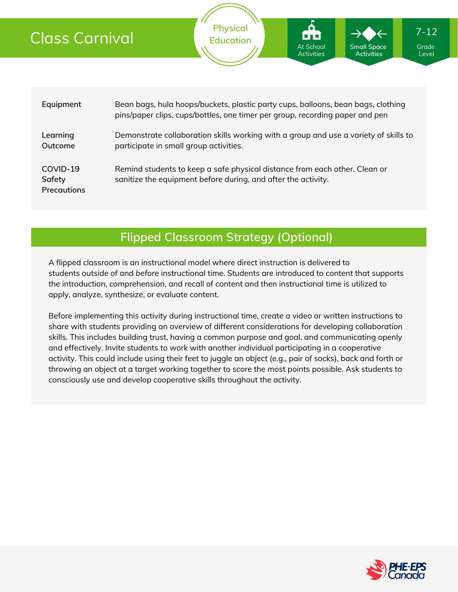| Class Carnival                           |                                                                                                                                                                  | <b>Physical</b><br><b>Education</b> | <b>BAB</b><br><b>At School</b><br><b>Activities</b> | <b>Small Space</b><br><b>Activities</b> | $7 - 12$<br>Grade<br>Level |  |
|------------------------------------------|------------------------------------------------------------------------------------------------------------------------------------------------------------------|-------------------------------------|-----------------------------------------------------|-----------------------------------------|----------------------------|--|
|                                          |                                                                                                                                                                  |                                     |                                                     |                                         |                            |  |
| Equipment                                | Bean bags, hula hoops/buckets, plastic party cups, balloons, bean bags, clothing<br>pins/paper clips, cups/bottles, one timer per group, recording paper and pen |                                     |                                                     |                                         |                            |  |
| Learning<br>Outcome                      | Demonstrate collaboration skills working with a group and use a variety of skills to<br>participate in small group activities.                                   |                                     |                                                     |                                         |                            |  |
| COVID-19<br>Safety<br><b>Precautions</b> | Remind students to keep a safe physical distance from each other. Clean or<br>sanitize the equipment before during, and after the activity.                      |                                     |                                                     |                                         |                            |  |

### **Flipped Classroom Strategy (Optional)**

A flipped classroom is an instructional model where direct instruction is delivered to students *outside of* and *before* instructional time. Students are introduced to content that supports the introduction, comprehension, and recall of content and then instructional time is utilized to apply, analyze, synthesize, or evaluate content.

Before implementing this activity during instructional time, create a video or written instructions to share with students providing an overview of different considerations for developing collaboration skills. This includes building trust, having a common purpose and goal, and communicating openly and effectively. Invite students to work with another individual participating in a cooperative activity. This could include using their feet to juggle an object (e.g., pair of socks), back and forth or throwing an object at a target working together to score the most points possible. Ask students to consciously use and develop cooperative skills throughout the activity.

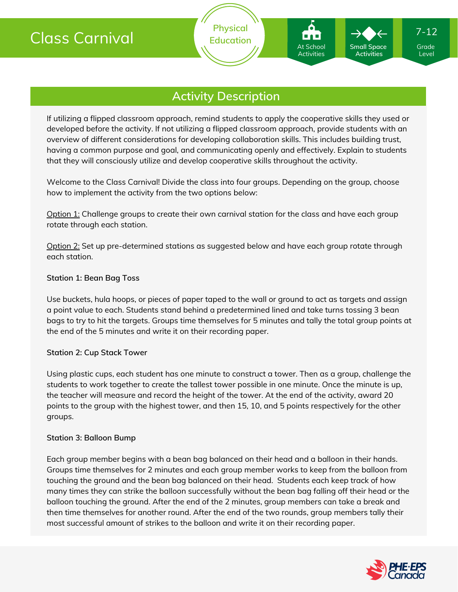### **Activity Description**

**Physical Education**

If utilizing a flipped classroom approach, remind students to apply the cooperative skills they used or developed before the activity. If not utilizing a flipped classroom approach, provide students with an overview of different considerations for developing collaboration skills. This includes building trust, having a common purpose and goal, and communicating openly and effectively. Explain to students that they will consciously utilize and develop cooperative skills throughout the activity.

Welcome to the Class Carnival! Divide the class into four groups. Depending on the group, choose how to implement the activity from the two options below:

Option 1: Challenge groups to create their own carnival station for the class and have each group rotate through each station.

Option 2: Set up pre-determined stations as suggested below and have each group rotate through each station.

#### **Station 1: Bean Bag Toss**

Use buckets, hula hoops, or pieces of paper taped to the wall or ground to act as targets and assign a point value to each. Students stand behind a predetermined lined and take turns tossing 3 bean bags to try to hit the targets. Groups time themselves for 5 minutes and tally the total group points at the end of the 5 minutes and write it on their recording paper.

#### **Station 2: Cup Stack Tower**

Using plastic cups, each student has one minute to construct a tower. Then as a group, challenge the students to work together to create the tallest tower possible in one minute. Once the minute is up, the teacher will measure and record the height of the tower. At the end of the activity, award 20 points to the group with the highest tower, and then 15, 10, and 5 points respectively for the other groups.

#### **Station 3: Balloon Bump**

Each group member begins with a bean bag balanced on their head and a balloon in their hands. Groups time themselves for 2 minutes and each group member works to keep from the balloon from touching the ground and the bean bag balanced on their head. Students each keep track of how many times they can strike the balloon successfully without the bean bag falling off their head or the balloon touching the ground. After the end of the 2 minutes, group members can take a break and then time themselves for another round. After the end of the two rounds, group members tally their most successful amount of strikes to the balloon and write it on their recording paper.

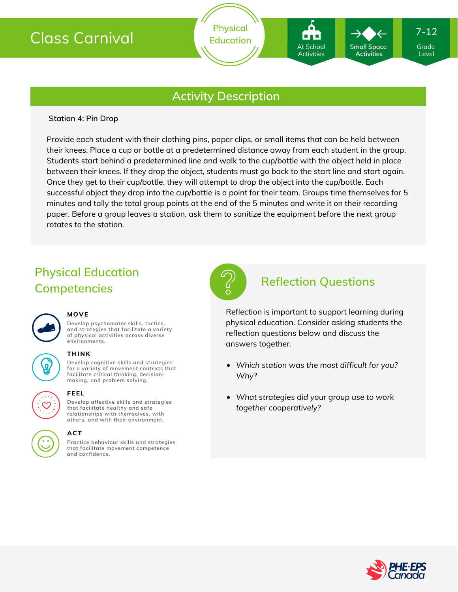## Class Carnival

### **Activity Description**

#### **Station 4: Pin Drop**

Provide each student with their clothing pins, paper clips, or small items that can be held between their knees. Place a cup or bottle at a predetermined distance away from each student in the group. Students start behind a predetermined line and walk to the cup/bottle with the object held in place between their knees. If they drop the object, students must go back to the start line and start again. Once they get to their cup/bottle, they will attempt to drop the object into the cup/bottle. Each successful object they drop into the cup/bottle is a point for their team. Groups time themselves for 5 minutes and tally the total group points at the end of the 5 minutes and write it on their recording paper. Before a group leaves a station, ask them to sanitize the equipment before the next group rotates to the station.

## **Physical Education Competencies**



#### **MOVE**

**Develop psychomotor skills, tactics, and strategies that facilitate a variety of physical activities across diverse environments.**

### **THINK**  $\overline{\mathbf{Q}}$

**Develop cognitive skills and strategies for a variety of movement contexts that facilitate critical thinking, decision making, and problem solving.**

# **FEEL**

**Develop affective skills and strategies that facilitate healthy and safe relationships with themselves, with others, and with their environment.**

## **ACT**

**Practice behaviour skills and strategies that facilitate movement competence and confidence.**



### **Reflection Questions**

At School Activities

**Small Space Activities**

Reflection is important to support learning during physical education. Consider asking students the reflection questions below and discuss the answers together.

- *Which station was the most difficult for you? Why?*
- *What strategies did your group use to work together cooperatively?*



Grade Level

7-12